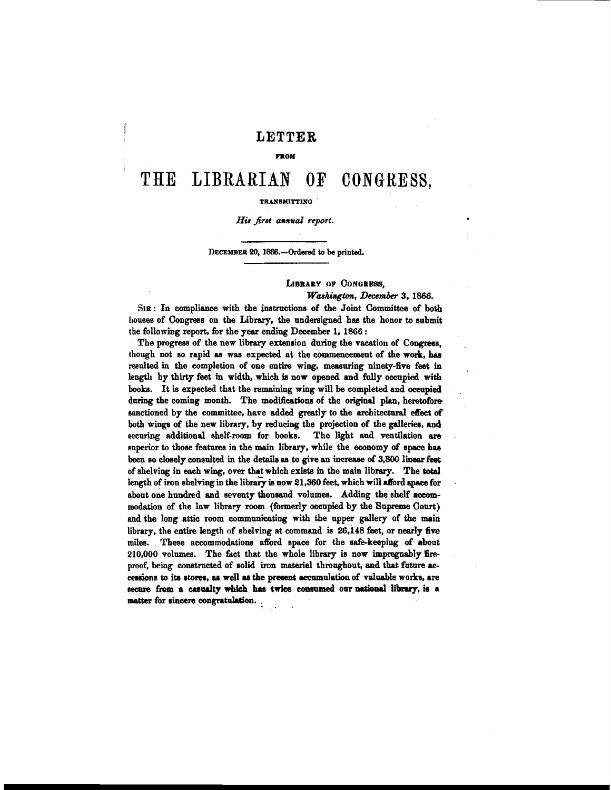### **LETTER**

#### **FROM**

## THE **LIBRARIAN OF CONGBESS?**

#### **TRANSMITTING**

#### His first annual report.

#### DECEMBER 20, 1666.-Ordered to be printed.

#### **LIBRARY OF CONGRESS,**

#### *Washington, December 3, 1866.*

SIR: In compliance with the inatrnctiona of the Joint Committoe of both houses of Congress on the Library, the undersigned has the honor to submit the following report, for the **pesr** ending December 1, 18G6 :

The progress of the new library extension during the vacation of Congress, though not so rapid as was expected at the commencement of the work, has **resulted** in tho completion of one entire wing, measuring ninety-five feet in length by thirty feet in width, which **is** now opened and fully occupied witb **booke.** It ia expected that the remaining wing will be completed and occupied **during** the coming month. The modifications of the original plan, heretofore sanctioned by the committee, have added greatly to the architectural effect of both wings of the new library, by reducing the projection of the galleries, and eccuring additional shelf-room for booka. The light and ventilation are superior to those features in the main library, while the economy of space has been so cloaely consulted in the details **ss** to give an increase of **3,800** linear feet of shelving in each wing, over that which exists in the main library. The total length of iron shelving in the library is now 21,360 feet, which will afford space for about one hundred and seventy thowand volumes. Adding the ahelf **aceom**modation of the law library room (formerly occupied by the Supreme Court) and the long attic room communicating with the upper gallery of the main library, the entire length of shelving at **command** ia 26,148 feet, or nearly **five**  milea. These accomrnodationa afford apace for the safe-keeping of about 210,000 volumes. The fact that the whole library ia now impregnably **Em**proof, being conatrncted of eolid iron material thronghout, and that future **ce**cessions to its stores, as well as the present accumulation of valuable works, are secure from a casualty which has twice consumed our national library, is a matter for sincere congratulation.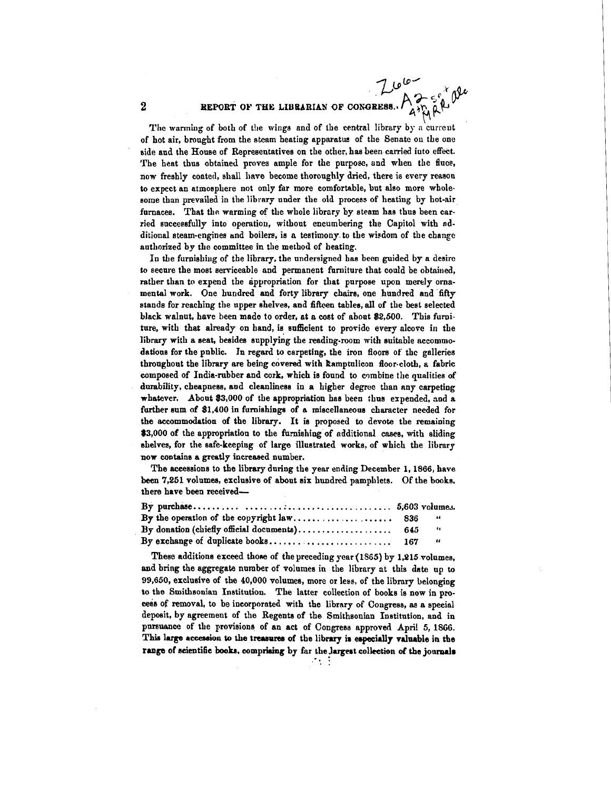# **REPORT OF THE LIBRARIAN OF CONGRESS.**

The warming of both of the wings and of the central library by a current of hot air, brought from the steam heating apparatus of the Senate on the one side and the House of Representatives on the other, has been carried iuto effect. The heat thus obtained proves ample for the purpose, and when the fluce, now freshly coated, shall have become thoroughly dried, there is every reason to expect an atmospllere not only far more comfortable, but also more wholesome than prevailed in the library under the old process of heating by hot-air furnaces. That the warming of the whole library by steam has thus been carried aucceesfully into operation, without encumbering the Capitol with ndditional steam-engines and boilen, is a testimony to the wisdom of the change authorized by the committee in the method of heating.

In the furnishing of the library, the undersigned has been guided by a desire to secure the most serviceable and permanent furniture that could be obtained, rather than to expend the appropriation for that purpose upon merely ornamental work. One hundred and forty library chairs, one hundred and fifty stands for reaching the upper shelves, and fifteen tables, all of the best selected black walnut, have been made to order, at a cost of about \$2,500. This furniture, with that already on hand, is sufficient to provide every alcove in the library with a seat, besides supplying the reading-room with suitable accommodations for the public. **In** regard to carpeting, the iron floors of the galleries throughout the library are being covered with Ramptulicon floor-cloth, a fabric composed of India-rubber and cork, which is found to combine the qualities of durability, cheapness, and cleanliness in a higher degree than any carpeting whatever. About \$3,000 of the appropriation has been thus expended, and a farther sum of \$1,400 in furnishings of a miecellaneous character needed for the accommodation of the library. It **ie** proposed to devote the remaining \$3,000 of the appropriation to the furnishing of additional cases, with sliding ahelves, for the safe-keeping of large illustrated works. of which the library now contains a greatly increased number.

The accessions to the library during the year ending December 1, 1866, have been 7,251 volumes, exclusive of about six hundred pamphlets. Of the books. there have been received-

|                                              |  | 66   |  |
|----------------------------------------------|--|------|--|
| By donation (chiefly official documents) 645 |  | - 4  |  |
|                                              |  | - 46 |  |

These additions exceed those of the preceding year  $(1865)$  by 1.215 volumes, and bring the aggregate number of volumes in the library at this date up to 99,650, exclusive of the 40,000 volumes, more or less, of the library belonging to the Smithsonian Institution. The latter collection of books is now in pro-&s of removal, to be incorporated with the library **of** Congress, as a apecinl deposit, by agreement of the Regents of the Smithsonian Institution, and in pnreuance of the proviaions of an act of Congress approved April 5, **16GG.**  This large accession to the treasures of the library is especially valuable in the range of scientific books, comprising by far the Jargest collection of the journals

. . .

 $\overline{2}$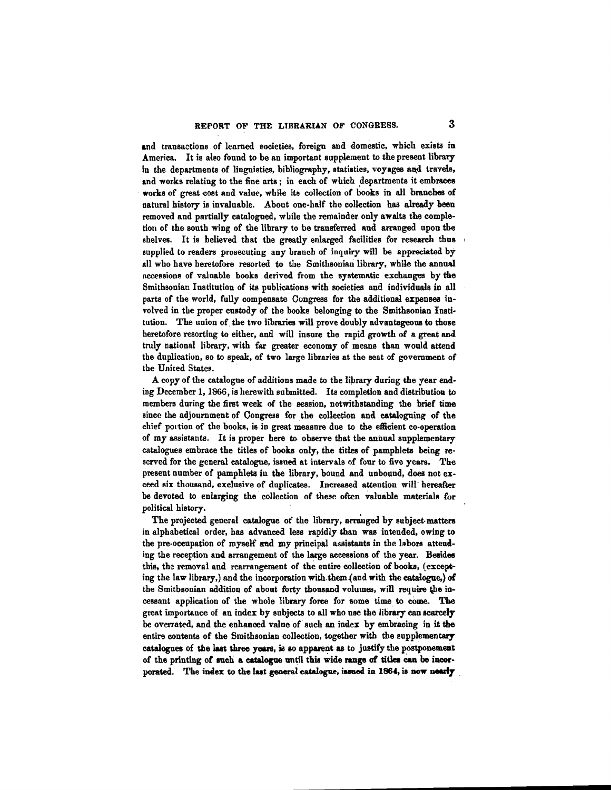**md** transactions of learned societies, foreign and domestic, which exista in America. It is deo found to be an important supplement to the present library In the departments of linguistics, bibliography, statistics, voyages and travels, and works relating to the fine arts; in each of which departments it embraces works of great coat and value, while ita collection of books in all branches of natural history is invaluable. About one-half the collection has already been removed and partially catalogued, while the remainder only awaits the completion of the south wing of the library to be transferred and arranged upon the shelves. It is believed that the greatly enlarged facilities for research thus supplied to readers prosecuting any branch of inquiry will be appreciated by all who have heretofore resorted to the Smithsonian library, while the annual nccessions of valuable books derived from the systematic exchanges by **the**  Smitheoniac Institution of its publications with societies and individuals in all parts of the world, fully compensate Congress for the additional expensea iuvolved in the proper custody of the books belonging to the Smithaonian Institution. The union of the two libraries will prove doubly advantageous to those heretofore resorting to either, and will insure the rapid growth of a great and truly nationnl library, with **fur** greater economy of means than would attend the duplication, so to speak, of two large libraries at the seat of government of the United States.

A copy of the catalogue of additions made to the library during the year ending December 1, 1866, is herewith submitted. Its completion and distribution to members during the first week of the session, notwithstanding the brief time since the adjournment of Congress for the collection and cataloguing of the chief portion of the books, is in great measure due to the efficient co-operation of my assistante. It is proper here **to** observe that the annual supplementary catalogues embrace the titles of books only, the titles **of** pamphleta being reserved for the general catalogue, issoed at intervals of four to five yeare. **The**  present number of pamphlets in the library, bound and unbound, does not exceed six thousand, exclusive of duplicates. Increased attention will hereafter be devoted to enlarging the collection of these often valuable materials for political history.

The projected general catalogue of the library, arranged by subject-matters in alphabetical order, has advanced leas rapidly than wae intended, owing to the pre-occupation of myself and my principal assistants in the labors attending the reception and arrangement of the large accessions of the year. Besides this, the removal and rearrangement of the entire collection of books, (excepting the law library,) and the incorporation with them(and with the catalogue,) **of**  the Smitbsonian addition of about forty thousand volumes, will require the incessant application of the whole library force for some time to come. The great importance of an index by subjects to all who use the library can scarcely be overrated, and the enhanced value of such an index by embracing in it the entire contents of the Smithsonian collection, together with the supplementary catalogues of the last three years, is so apparent as to justify the postponement of the printing of such a catalogue until this wide range of titles can be incorporated. The index to the last general catalogue, issued in 1864, is now nearly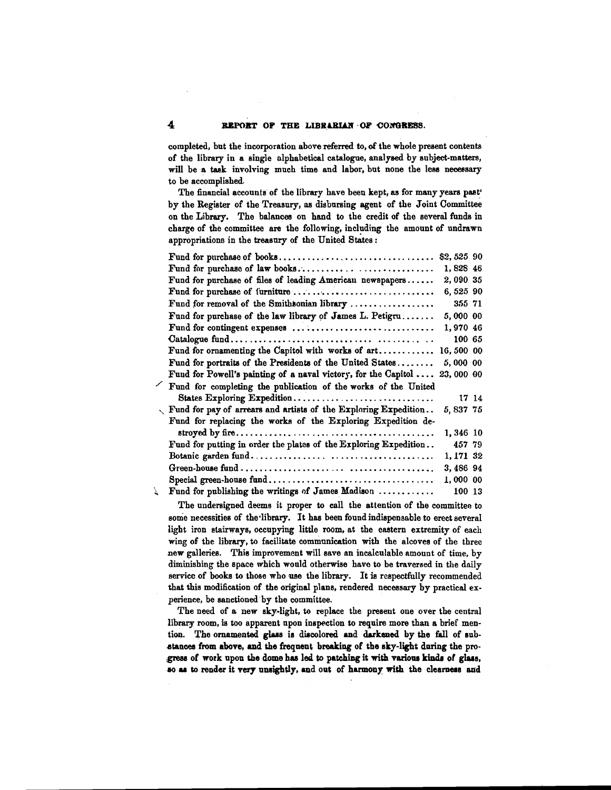completed, but the incorporation above referred to, **of** the whde present contents of the library in a single alphabetical catalogue, analysed by subject-matters, will be a task involving much time and labor, but none the less necessary to be accomplished.

The financial accounts of the library have been kept, as for many years past<sup>\*</sup> by the Register of the Treasury, as disbursing agent of the Joint Committee on the Library. The balances on hand to the credit of the several funds in charge of the committee are the following, including the amount of undrawn appropriations in the treasury of the United States:

|   |                                                                            | \$2,525 90 |       |  |
|---|----------------------------------------------------------------------------|------------|-------|--|
|   | Fund for purchase of law books                                             | 1,828 46   |       |  |
|   |                                                                            |            |       |  |
|   | Fund for purchase of files of leading American newspapers                  | 2,090 35   |       |  |
|   | Fund for purchase of furniture                                             | 6,525 90   |       |  |
|   | Fund for removal of the Smithsonian library                                | 355 71     |       |  |
|   | Fund for purchase of the law library of James L. Petigru                   | 5,000 00   |       |  |
|   | Fund for contingent expenses                                               | 1,970 46   |       |  |
|   |                                                                            | 100 65     |       |  |
|   | Fund for ornamenting the Capitol with works of art                         | 16,500 00  |       |  |
|   | Fund for portraits of the Presidents of the United States                  | 5,000 00   |       |  |
|   | Fund for Powell's painting of a naval victory, for the Capitol             | 23,000 00  |       |  |
|   | Fund for completing the publication of the works of the United             |            |       |  |
|   | States Exploring Expedition                                                |            | 17 14 |  |
|   | $\sqrt{2}$ Fund for pay of arrears and artists of the Exploring Expedition | 5,837 75   |       |  |
|   | Fund for replacing the works of the Exploring Expedition de-               |            |       |  |
|   |                                                                            | 1,346 10   |       |  |
|   | Fund for putting in order the plates of the Exploring Expedition           | 457 79     |       |  |
|   |                                                                            | 1,171 32   |       |  |
|   |                                                                            | 3,486 94   |       |  |
|   |                                                                            | 1,000 00   |       |  |
| 7 | Fund for publishing the writings of James Madison $\ldots \ldots \ldots$   | 100 13     |       |  |
|   |                                                                            |            |       |  |

The undersigned deems it proper to call the attention of the committee to some necessities of the library. It has been found indispensable to erect several light iron stairways, occupying little room, at the eastern extremity of each wing of the library, to facilitate communication with the alcoves of the three new galleries. Thie improvement will save an incalculable amount of time, by diminishing the space which would otherwise have to be traveraed in the daily service of books to those who use the library. It is respectfully recommended that this modification of the original plans, rendered necessary by practical experience, be sanctioned by the committee.

The need of a new sky-light, to replace the present oue over the central library room, is too apparent npon inspection to require more than a brief mention. The ornamented glass is discolored and darkened by the fall of substances from above, and the frequent breaking of the sky-light during the progress of work upon the dome has led to patching it with various kinds of glass, so as to render it very unsightly, and out of harmony with the clearness and